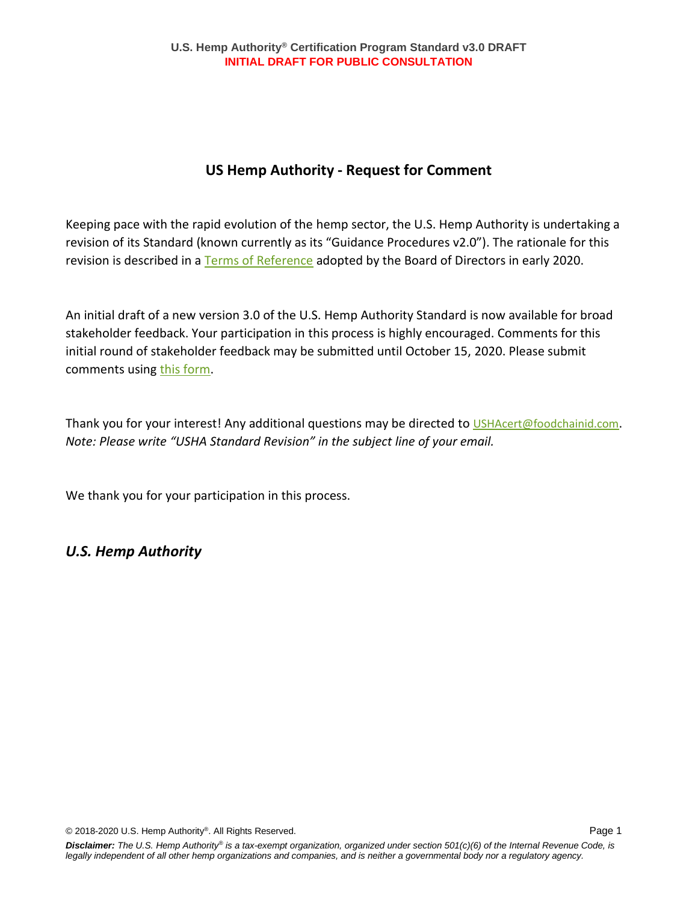## **US Hemp Authority - Request for Comment**

Keeping pace with the rapid evolution of the hemp sector, the U.S. Hemp Authority is undertaking a revision of its Standard (known currently as its "Guidance Procedures v2.0"). The rationale for this revision is described in a [Terms of Reference](https://ushempauthority.org/assets/uploads/USHA-Guidance-Procedures-Rev-Terms-of-Reference.pdf) adopted by the Board of Directors in early 2020.

An initial draft of a new version 3.0 of the U.S. Hemp Authority Standard is now available for broad stakeholder feedback. Your participation in this process is highly encouraged. Comments for this initial round of stakeholder feedback may be submitted until October 15, 2020. Please submit comments using [this form.](https://docs.google.com/forms/d/e/1FAIpQLSdVmYt4Qc8XVOEg_8dNAWKLOAMPcKFj3q9XM6niOcbyOsJYUw/viewform?usp=sf_link)

Thank you for your interest! Any additional questions may be directed to [USHAcert@foodchainid.com](mailto:USHAcert@foodchainid.com). *Note: Please write "USHA Standard Revision" in the subject line of your email.*

We thank you for your participation in this process.

## *U.S. Hemp Authority*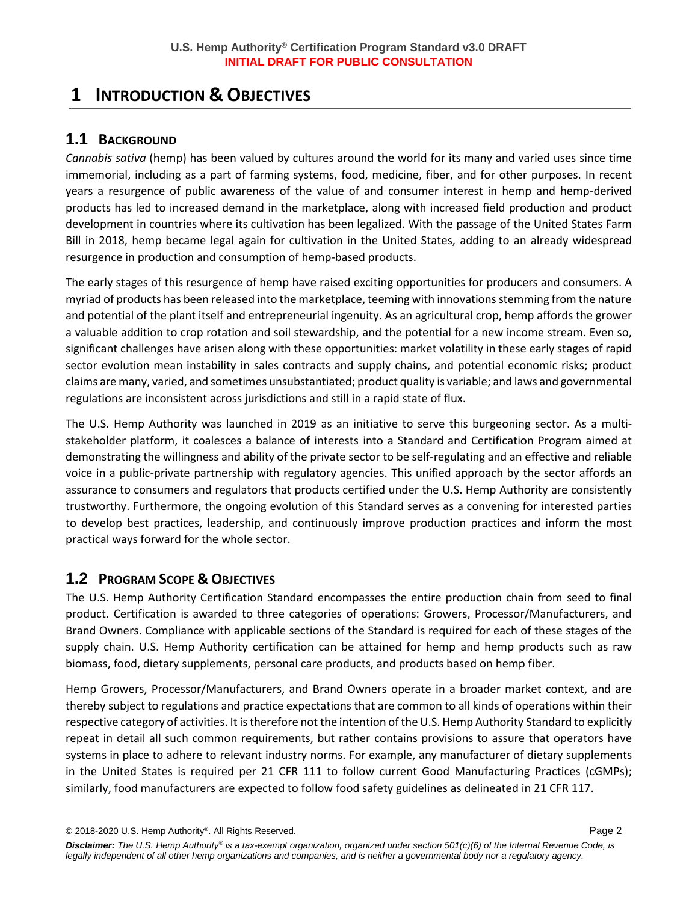# **1 INTRODUCTION & OBJECTIVES**

### **1.1 BACKGROUND**

*Cannabis sativa* (hemp) has been valued by cultures around the world for its many and varied uses since time immemorial, including as a part of farming systems, food, medicine, fiber, and for other purposes. In recent years a resurgence of public awareness of the value of and consumer interest in hemp and hemp-derived products has led to increased demand in the marketplace, along with increased field production and product development in countries where its cultivation has been legalized. With the passage of the United States Farm Bill in 2018, hemp became legal again for cultivation in the United States, adding to an already widespread resurgence in production and consumption of hemp-based products.

The early stages of this resurgence of hemp have raised exciting opportunities for producers and consumers. A myriad of products has been released into the marketplace, teeming with innovationsstemming from the nature and potential of the plant itself and entrepreneurial ingenuity. As an agricultural crop, hemp affords the grower a valuable addition to crop rotation and soil stewardship, and the potential for a new income stream. Even so, significant challenges have arisen along with these opportunities: market volatility in these early stages of rapid sector evolution mean instability in sales contracts and supply chains, and potential economic risks; product claims are many, varied, and sometimes unsubstantiated; product quality is variable; and laws and governmental regulations are inconsistent across jurisdictions and still in a rapid state of flux.

The U.S. Hemp Authority was launched in 2019 as an initiative to serve this burgeoning sector. As a multistakeholder platform, it coalesces a balance of interests into a Standard and Certification Program aimed at demonstrating the willingness and ability of the private sector to be self-regulating and an effective and reliable voice in a public-private partnership with regulatory agencies. This unified approach by the sector affords an assurance to consumers and regulators that products certified under the U.S. Hemp Authority are consistently trustworthy. Furthermore, the ongoing evolution of this Standard serves as a convening for interested parties to develop best practices, leadership, and continuously improve production practices and inform the most practical ways forward for the whole sector.

## **1.2 PROGRAM SCOPE & OBJECTIVES**

The U.S. Hemp Authority Certification Standard encompasses the entire production chain from seed to final product. Certification is awarded to three categories of operations: Growers, Processor/Manufacturers, and Brand Owners. Compliance with applicable sections of the Standard is required for each of these stages of the supply chain. U.S. Hemp Authority certification can be attained for hemp and hemp products such as raw biomass, food, dietary supplements, personal care products, and products based on hemp fiber.

Hemp Growers, Processor/Manufacturers, and Brand Owners operate in a broader market context, and are thereby subject to regulations and practice expectations that are common to all kinds of operations within their respective category of activities. It is therefore not the intention of the U.S. Hemp Authority Standard to explicitly repeat in detail all such common requirements, but rather contains provisions to assure that operators have systems in place to adhere to relevant industry norms. For example, any manufacturer of dietary supplements in the United States is required per 21 CFR 111 to follow current Good Manufacturing Practices (cGMPs); similarly, food manufacturers are expected to follow food safety guidelines as delineated in 21 CFR 117.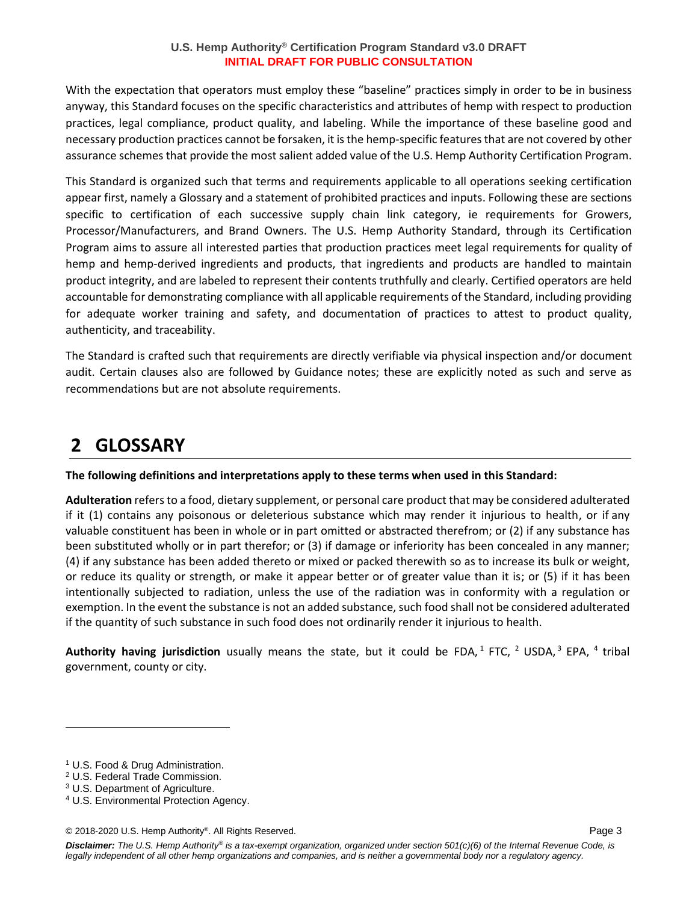With the expectation that operators must employ these "baseline" practices simply in order to be in business anyway, this Standard focuses on the specific characteristics and attributes of hemp with respect to production practices, legal compliance, product quality, and labeling. While the importance of these baseline good and necessary production practices cannot be forsaken, it is the hemp-specific features that are not covered by other assurance schemes that provide the most salient added value of the U.S. Hemp Authority Certification Program.

This Standard is organized such that terms and requirements applicable to all operations seeking certification appear first, namely a Glossary and a statement of prohibited practices and inputs. Following these are sections specific to certification of each successive supply chain link category, ie requirements for Growers, Processor/Manufacturers, and Brand Owners. The U.S. Hemp Authority Standard, through its Certification Program aims to assure all interested parties that production practices meet legal requirements for quality of hemp and hemp-derived ingredients and products, that ingredients and products are handled to maintain product integrity, and are labeled to represent their contents truthfully and clearly. Certified operators are held accountable for demonstrating compliance with all applicable requirements of the Standard, including providing for adequate worker training and safety, and documentation of practices to attest to product quality, authenticity, and traceability.

The Standard is crafted such that requirements are directly verifiable via physical inspection and/or document audit. Certain clauses also are followed by Guidance notes; these are explicitly noted as such and serve as recommendations but are not absolute requirements.

# **2 GLOSSARY**

**The following definitions and interpretations apply to these terms when used in this Standard:**

**Adulteration** refers to a food, dietary supplement, or personal care product that may be considered adulterated if it (1) contains any poisonous or deleterious substance which may render it injurious to health, or if any valuable constituent has been in whole or in part omitted or abstracted therefrom; or (2) if any substance has been substituted wholly or in part therefor; or (3) if damage or inferiority has been concealed in any manner; (4) if any substance has been added thereto or mixed or packed therewith so as to increase its bulk or weight, or reduce its quality or strength, or make it appear better or of greater value than it is; or (5) if it has been intentionally subjected to radiation, unless the use of the radiation was in conformity with a regulation or exemption. In the event the substance is not an added substance, such food shall not be considered adulterated if the quantity of such substance in such food does not ordinarily render it injurious to health.

Authority having jurisdiction usually means the state, but it could be FDA,<sup>1</sup> FTC, <sup>2</sup> USDA,<sup>3</sup> EPA, <sup>4</sup> tribal government, county or city.

<sup>1</sup> U.S. Food & Drug Administration.

<sup>2</sup> U.S. Federal Trade Commission.

<sup>3</sup> U.S. Department of Agriculture.

<sup>4</sup> U.S. Environmental Protection Agency.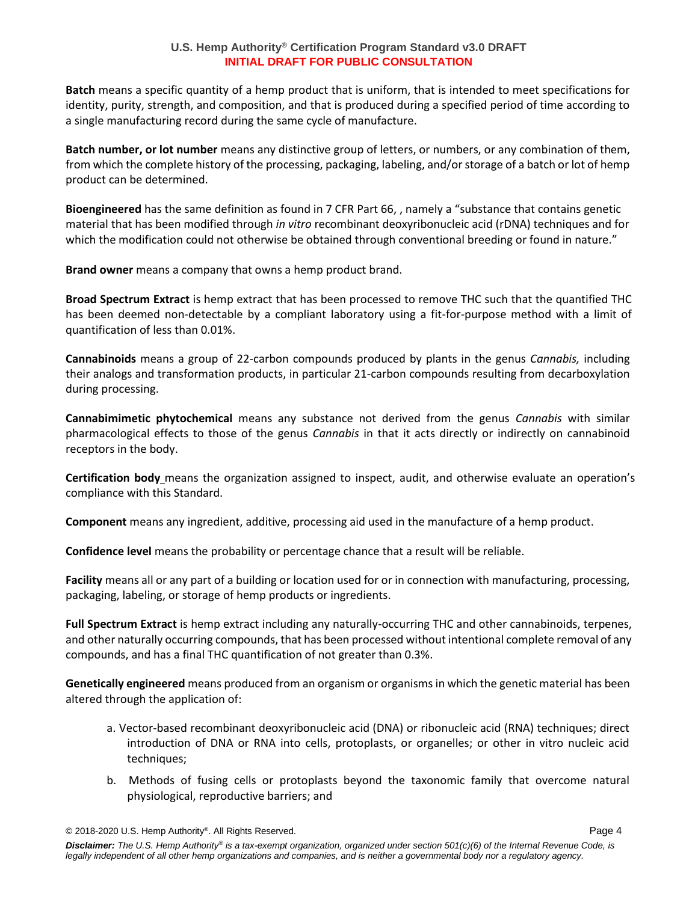**Batch** means a specific quantity of a hemp product that is uniform, that is intended to meet specifications for identity, purity, strength, and composition, and that is produced during a specified period of time according to a single manufacturing record during the same cycle of manufacture.

**Batch number, or lot number** means any distinctive group of letters, or numbers, or any combination of them, from which the complete history of the processing, packaging, labeling, and/or storage of a batch or lot of hemp product can be determined.

**Bioengineered** has the same definition as found in 7 CFR Part 66, , namely a "substance that contains genetic material that has been modified through *in vitro* recombinant deoxyribonucleic acid (rDNA) techniques and for which the modification could not otherwise be obtained through conventional breeding or found in nature."

**Brand owner** means a company that owns a hemp product brand.

**Broad Spectrum Extract** is hemp extract that has been processed to remove THC such that the quantified THC has been deemed non-detectable by a compliant laboratory using a fit-for-purpose method with a limit of quantification of less than 0.01%.

**Cannabinoids** means a group of 22-carbon compounds produced by plants in the genus *Cannabis,* including their analogs and transformation products, in particular 21-carbon compounds resulting from decarboxylation during processing.

**Cannabimimetic phytochemical** means any substance not derived from the genus *Cannabis* with similar pharmacological effects to those of the genus *Cannabis* in that it acts directly or indirectly on cannabinoid receptors in the body.

**Certification body** means the organization assigned to inspect, audit, and otherwise evaluate an operation's compliance with this Standard.

**Component** means any ingredient, additive, processing aid used in the manufacture of a hemp product.

**Confidence level** means the probability or percentage chance that a result will be reliable.

**Facility** means all or any part of a building or location used for or in connection with manufacturing, processing, packaging, labeling, or storage of hemp products or ingredients.

**Full Spectrum Extract** is hemp extract including any naturally-occurring THC and other cannabinoids, terpenes, and other naturally occurring compounds, that has been processed without intentional complete removal of any compounds, and has a final THC quantification of not greater than 0.3%.

**Genetically engineered** means produced from an organism or organisms in which the genetic material has been altered through the application of:

- a. Vector-based recombinant deoxyribonucleic acid (DNA) or ribonucleic acid (RNA) techniques; direct introduction of DNA or RNA into cells, protoplasts, or organelles; or other in vitro nucleic acid techniques;
- b. Methods of fusing cells or protoplasts beyond the taxonomic family that overcome natural physiological, reproductive barriers; and

<sup>© 2018-2020</sup> U.S. Hemp Authority® . All Rights Reserved. Page 4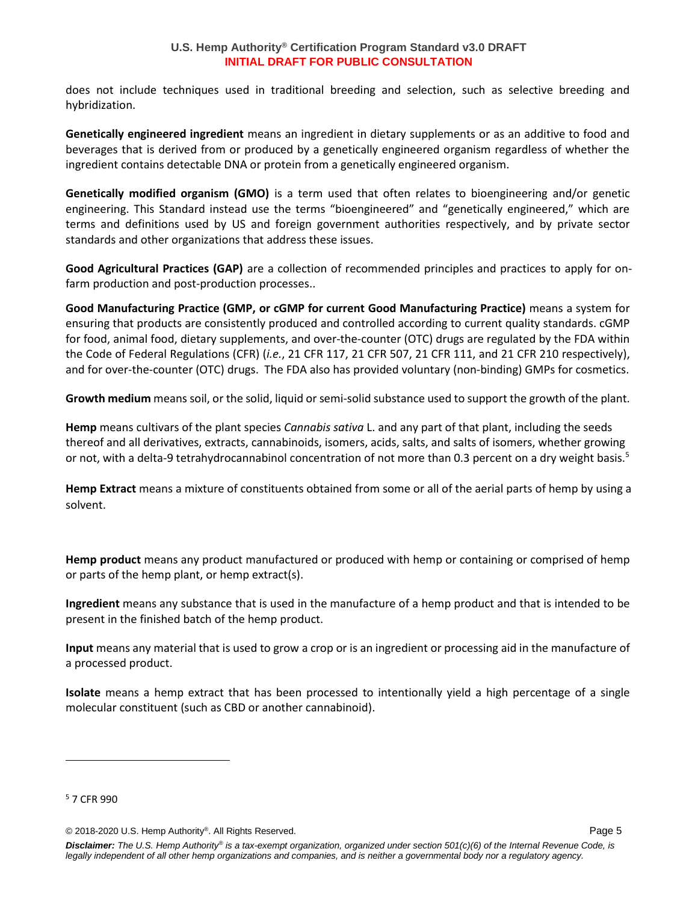does not include techniques used in traditional breeding and selection, such as selective breeding and hybridization.

**Genetically engineered ingredient** means an ingredient in dietary supplements or as an additive to food and beverages that is derived from or produced by a genetically engineered organism regardless of whether the ingredient contains detectable DNA or protein from a genetically engineered organism.

**Genetically modified organism (GMO)** is a term used that often relates to bioengineering and/or genetic engineering. This Standard instead use the terms "bioengineered" and "genetically engineered," which are terms and definitions used by US and foreign government authorities respectively, and by private sector standards and other organizations that address these issues.

**Good Agricultural Practices (GAP)** are a collection of recommended principles and practices to apply for onfarm production and post-production processes..

**Good Manufacturing Practice (GMP, or cGMP for current Good Manufacturing Practice)** means a system for ensuring that products are consistently produced and controlled according to current quality standards. cGMP for food, animal food, dietary supplements, and over-the-counter (OTC) drugs are regulated by the FDA within the Code of Federal Regulations (CFR) (*i.e.*, 21 CFR 117, 21 CFR 507, 21 CFR 111, and 21 CFR 210 respectively), and for over-the-counter (OTC) drugs. The FDA also has provided voluntary (non-binding) GMPs for cosmetics.

**Growth medium** means soil, or the solid, liquid or semi-solid substance used to support the growth of the plant.

**Hemp** means cultivars of the plant species *Cannabis sativa* L. and any part of that plant, including the seeds thereof and all derivatives, extracts, cannabinoids, isomers, acids, salts, and salts of isomers, whether growing or not, with a delta-9 tetrahydrocannabinol concentration of not more than 0.3 percent on a dry weight basis.<sup>5</sup>

**Hemp Extract** means a mixture of constituents obtained from some or all of the aerial parts of hemp by using a solvent.

**Hemp product** means any product manufactured or produced with hemp or containing or comprised of hemp or parts of the hemp plant, or hemp extract(s).

**Ingredient** means any substance that is used in the manufacture of a hemp product and that is intended to be present in the finished batch of the hemp product.

**Input** means any material that is used to grow a crop or is an ingredient or processing aid in the manufacture of a processed product.

**Isolate** means a hemp extract that has been processed to intentionally yield a high percentage of a single molecular constituent (such as CBD or another cannabinoid).

<sup>5</sup> 7 CFR 990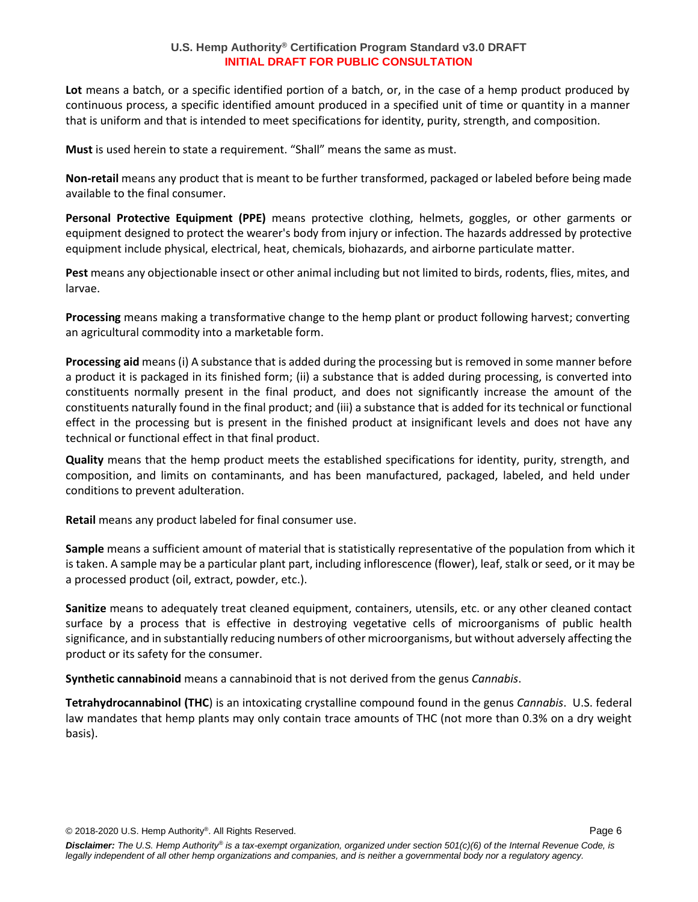Lot means a batch, or a specific identified portion of a batch, or, in the case of a hemp product produced by continuous process, a specific identified amount produced in a specified unit of time or quantity in a manner that is uniform and that is intended to meet specifications for identity, purity, strength, and composition.

**Must** is used herein to state a requirement. "Shall" means the same as must.

**Non-retail** means any product that is meant to be further transformed, packaged or labeled before being made available to the final consumer.

**Personal Protective Equipment (PPE)** means protective clothing, helmets, goggles, or other garments or equipment designed to protect the wearer's body from injury or infection. The hazards addressed by protective equipment include physical, electrical, heat, chemicals, biohazards, and airborne particulate matter.

**Pest** means any objectionable insect or other animal including but not limited to birds, rodents, flies, mites, and larvae.

**Processing** means making a transformative change to the hemp plant or product following harvest; converting an agricultural commodity into a marketable form.

**Processing aid** means (i) A substance that is added during the processing but is removed in some manner before a product it is packaged in its finished form; (ii) a substance that is added during processing, is converted into constituents normally present in the final product, and does not significantly increase the amount of the constituents naturally found in the final product; and (iii) a substance that is added for its technical or functional effect in the processing but is present in the finished product at insignificant levels and does not have any technical or functional effect in that final product.

**Quality** means that the hemp product meets the established specifications for identity, purity, strength, and composition, and limits on contaminants, and has been manufactured, packaged, labeled, and held under conditions to prevent adulteration.

**Retail** means any product labeled for final consumer use.

**Sample** means a sufficient amount of material that is statistically representative of the population from which it is taken. A sample may be a particular plant part, including inflorescence (flower), leaf, stalk or seed, or it may be a processed product (oil, extract, powder, etc.).

**Sanitize** means to adequately treat cleaned equipment, containers, utensils, etc. or any other cleaned contact surface by a process that is effective in destroying vegetative cells of microorganisms of public health significance, and in substantially reducing numbers of other microorganisms, but without adversely affecting the product or its safety for the consumer.

**Synthetic cannabinoid** means a cannabinoid that is not derived from the genus *Cannabis*.

**Tetrahydrocannabinol (THC**) is an intoxicating crystalline compound found in the genus *Cannabis*. U.S. federal law mandates that hemp plants may only contain trace amounts of THC (not more than 0.3% on a dry weight basis).

© 2018-2020 U.S. Hemp Authority® . All Rights Reserved. Page 6

*Disclaimer: The U.S. Hemp Authority® is a tax-exempt organization, organized under section 501(c)(6) of the Internal Revenue Code, is legally independent of all other hemp organizations and companies, and is neither a governmental body nor a regulatory agency.*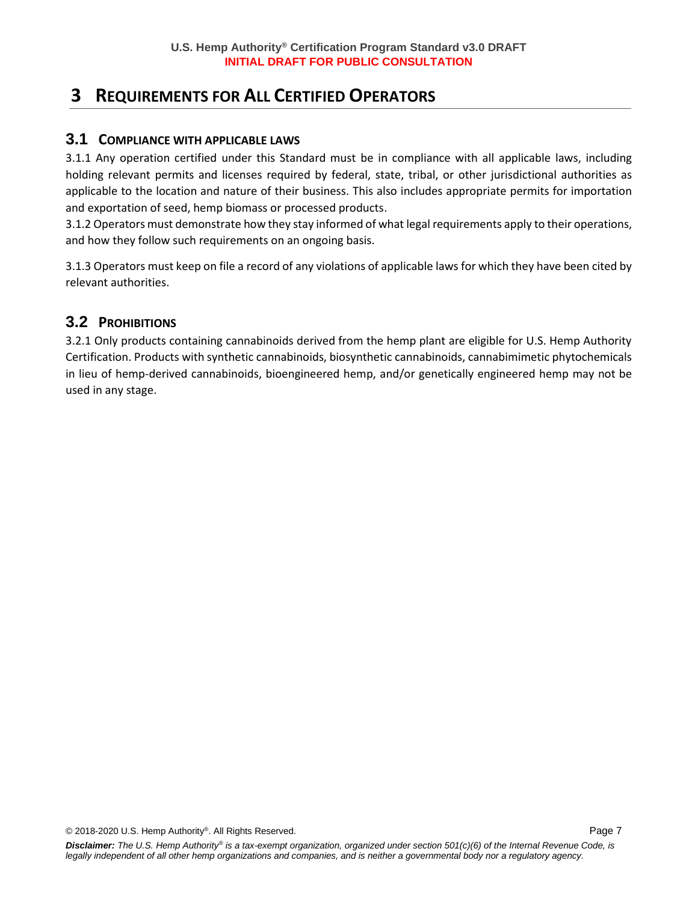# **3 REQUIREMENTS FOR ALL CERTIFIED OPERATORS**

### **3.1 COMPLIANCE WITH APPLICABLE LAWS**

3.1.1 Any operation certified under this Standard must be in compliance with all applicable laws, including holding relevant permits and licenses required by federal, state, tribal, or other jurisdictional authorities as applicable to the location and nature of their business. This also includes appropriate permits for importation and exportation of seed, hemp biomass or processed products.

3.1.2 Operators must demonstrate how they stay informed of what legal requirements apply to their operations, and how they follow such requirements on an ongoing basis.

3.1.3 Operators must keep on file a record of any violations of applicable laws for which they have been cited by relevant authorities.

### **3.2 PROHIBITIONS**

3.2.1 Only products containing cannabinoids derived from the hemp plant are eligible for U.S. Hemp Authority Certification. Products with synthetic cannabinoids, biosynthetic cannabinoids, cannabimimetic phytochemicals in lieu of hemp-derived cannabinoids, bioengineered hemp, and/or genetically engineered hemp may not be used in any stage.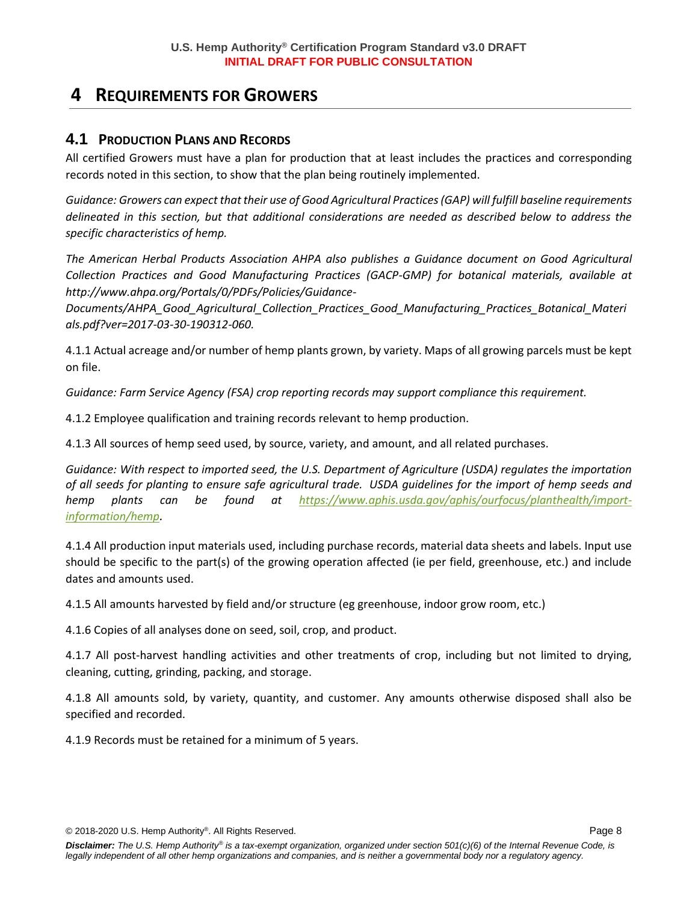# **4 REQUIREMENTS FOR GROWERS**

### **4.1 PRODUCTION PLANS AND RECORDS**

All certified Growers must have a plan for production that at least includes the practices and corresponding records noted in this section, to show that the plan being routinely implemented.

*Guidance: Growers can expect that their use of Good Agricultural Practices (GAP) will fulfill baseline requirements delineated in this section, but that additional considerations are needed as described below to address the specific characteristics of hemp.*

*The American Herbal Products Association AHPA also publishes a Guidance document on Good Agricultural Collection Practices and Good Manufacturing Practices (GACP-GMP) for botanical materials, available at http://www.ahpa.org/Portals/0/PDFs/Policies/Guidance-*

*Documents/AHPA\_Good\_Agricultural\_Collection\_Practices\_Good\_Manufacturing\_Practices\_Botanical\_Materi als.pdf?ver=2017-03-30-190312-060.*

4.1.1 Actual acreage and/or number of hemp plants grown, by variety. Maps of all growing parcels must be kept on file.

*Guidance: Farm Service Agency (FSA) crop reporting records may support compliance this requirement.*

4.1.2 Employee qualification and training records relevant to hemp production.

4.1.3 All sources of hemp seed used, by source, variety, and amount, and all related purchases.

*Guidance: With respect to imported seed, the U.S. Department of Agriculture (USDA) regulates the importation of all seeds for planting to ensure safe agricultural trade. USDA guidelines for the import of hemp seeds and hemp plants can be found at [https://www.aphis.usda.gov/aphis/ourfocus/planthealth/import](https://www.aphis.usda.gov/aphis/ourfocus/planthealth/import-information/hemp)[information/hemp](https://www.aphis.usda.gov/aphis/ourfocus/planthealth/import-information/hemp).*

4.1.4 All production input materials used, including purchase records, material data sheets and labels. Input use should be specific to the part(s) of the growing operation affected (ie per field, greenhouse, etc.) and include dates and amounts used.

4.1.5 All amounts harvested by field and/or structure (eg greenhouse, indoor grow room, etc.)

4.1.6 Copies of all analyses done on seed, soil, crop, and product.

4.1.7 All post-harvest handling activities and other treatments of crop, including but not limited to drying, cleaning, cutting, grinding, packing, and storage.

4.1.8 All amounts sold, by variety, quantity, and customer. Any amounts otherwise disposed shall also be specified and recorded.

4.1.9 Records must be retained for a minimum of 5 years.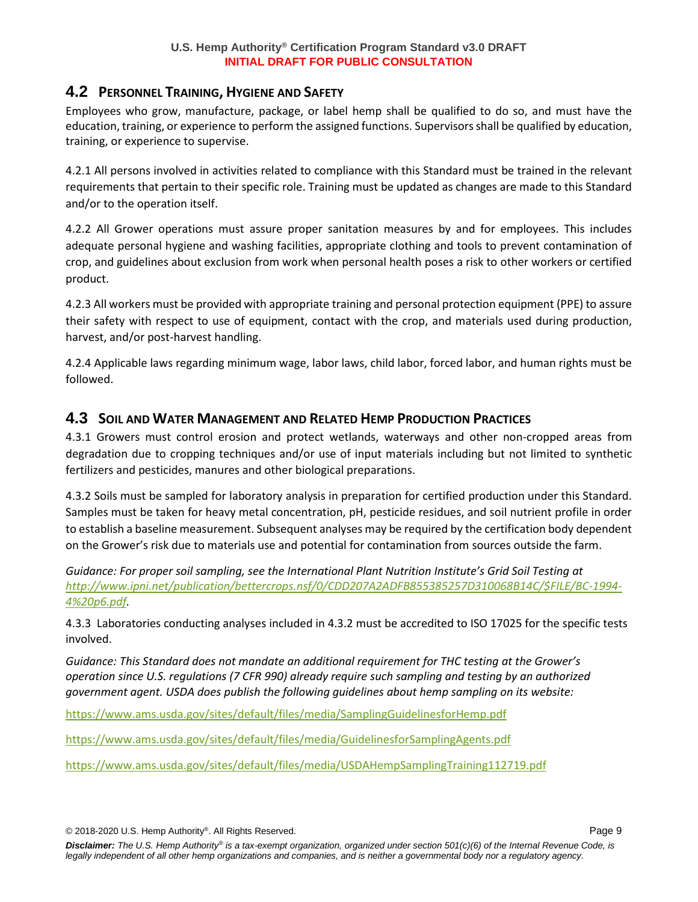### **4.2 PERSONNEL TRAINING, HYGIENE AND SAFETY**

Employees who grow, manufacture, package, or label hemp shall be qualified to do so, and must have the education, training, or experience to perform the assigned functions. Supervisors shall be qualified by education, training, or experience to supervise.

4.2.1 All persons involved in activities related to compliance with this Standard must be trained in the relevant requirements that pertain to their specific role. Training must be updated as changes are made to this Standard and/or to the operation itself.

4.2.2 All Grower operations must assure proper sanitation measures by and for employees. This includes adequate personal hygiene and washing facilities, appropriate clothing and tools to prevent contamination of crop, and guidelines about exclusion from work when personal health poses a risk to other workers or certified product.

4.2.3 All workers must be provided with appropriate training and personal protection equipment (PPE) to assure their safety with respect to use of equipment, contact with the crop, and materials used during production, harvest, and/or post-harvest handling.

4.2.4 Applicable laws regarding minimum wage, labor laws, child labor, forced labor, and human rights must be followed.

### **4.3 SOIL AND WATER MANAGEMENT AND RELATED HEMP PRODUCTION PRACTICES**

4.3.1 Growers must control erosion and protect wetlands, waterways and other non-cropped areas from degradation due to cropping techniques and/or use of input materials including but not limited to synthetic fertilizers and pesticides, manures and other biological preparations.

4.3.2 Soils must be sampled for laboratory analysis in preparation for certified production under this Standard. Samples must be taken for heavy metal concentration, pH, pesticide residues, and soil nutrient profile in order to establish a baseline measurement. Subsequent analyses may be required by the certification body dependent on the Grower's risk due to materials use and potential for contamination from sources outside the farm.

*Guidance: For proper soil sampling, see the International Plant Nutrition Institute's Grid Soil Testing at [http://www.ipni.net/publication/bettercrops.nsf/0/CDD207A2ADFB855385257D310068B14C/\\$FILE/BC-1994-](http://www.ipni.net/publication/bettercrops.nsf/0/CDD207A2ADFB855385257D310068B14C/$FILE/BC-1994-4%20p6.pdf) [4%20p6.pdf.](http://www.ipni.net/publication/bettercrops.nsf/0/CDD207A2ADFB855385257D310068B14C/$FILE/BC-1994-4%20p6.pdf)*

4.3.3 Laboratories conducting analyses included in 4.3.2 must be accredited to ISO 17025 for the specific tests involved.

*Guidance: This Standard does not mandate an additional requirement for THC testing at the Grower's operation since U.S. regulations (7 CFR 990) already require such sampling and testing by an authorized government agent. USDA does publish the following guidelines about hemp sampling on its website:*

<https://www.ams.usda.gov/sites/default/files/media/SamplingGuidelinesforHemp.pdf>

<https://www.ams.usda.gov/sites/default/files/media/GuidelinesforSamplingAgents.pdf>

<https://www.ams.usda.gov/sites/default/files/media/USDAHempSamplingTraining112719.pdf>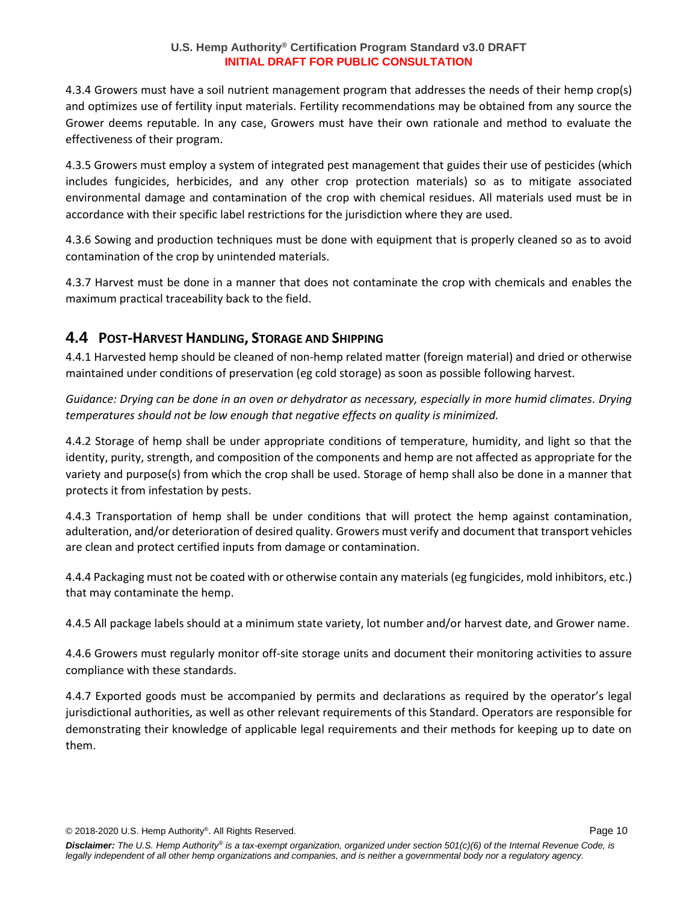4.3.4 Growers must have a soil nutrient management program that addresses the needs of their hemp crop(s) and optimizes use of fertility input materials. Fertility recommendations may be obtained from any source the Grower deems reputable. In any case, Growers must have their own rationale and method to evaluate the effectiveness of their program.

4.3.5 Growers must employ a system of integrated pest management that guides their use of pesticides (which includes fungicides, herbicides, and any other crop protection materials) so as to mitigate associated environmental damage and contamination of the crop with chemical residues. All materials used must be in accordance with their specific label restrictions for the jurisdiction where they are used.

4.3.6 Sowing and production techniques must be done with equipment that is properly cleaned so as to avoid contamination of the crop by unintended materials.

4.3.7 Harvest must be done in a manner that does not contaminate the crop with chemicals and enables the maximum practical traceability back to the field.

### **4.4 POST-HARVEST HANDLING, STORAGE AND SHIPPING**

4.4.1 Harvested hemp should be cleaned of non-hemp related matter (foreign material) and dried or otherwise maintained under conditions of preservation (eg cold storage) as soon as possible following harvest.

*Guidance: Drying can be done in an oven or dehydrator as necessary, especially in more humid climates. Drying temperatures should not be low enough that negative effects on quality is minimized.*

4.4.2 Storage of hemp shall be under appropriate conditions of temperature, humidity, and light so that the identity, purity, strength, and composition of the components and hemp are not affected as appropriate for the variety and purpose(s) from which the crop shall be used. Storage of hemp shall also be done in a manner that protects it from infestation by pests.

4.4.3 Transportation of hemp shall be under conditions that will protect the hemp against contamination, adulteration, and/or deterioration of desired quality. Growers must verify and document that transport vehicles are clean and protect certified inputs from damage or contamination.

4.4.4 Packaging must not be coated with or otherwise contain any materials (eg fungicides, mold inhibitors, etc.) that may contaminate the hemp.

4.4.5 All package labels should at a minimum state variety, lot number and/or harvest date, and Grower name.

4.4.6 Growers must regularly monitor off-site storage units and document their monitoring activities to assure compliance with these standards.

4.4.7 Exported goods must be accompanied by permits and declarations as required by the operator's legal jurisdictional authorities, as well as other relevant requirements of this Standard. Operators are responsible for demonstrating their knowledge of applicable legal requirements and their methods for keeping up to date on them.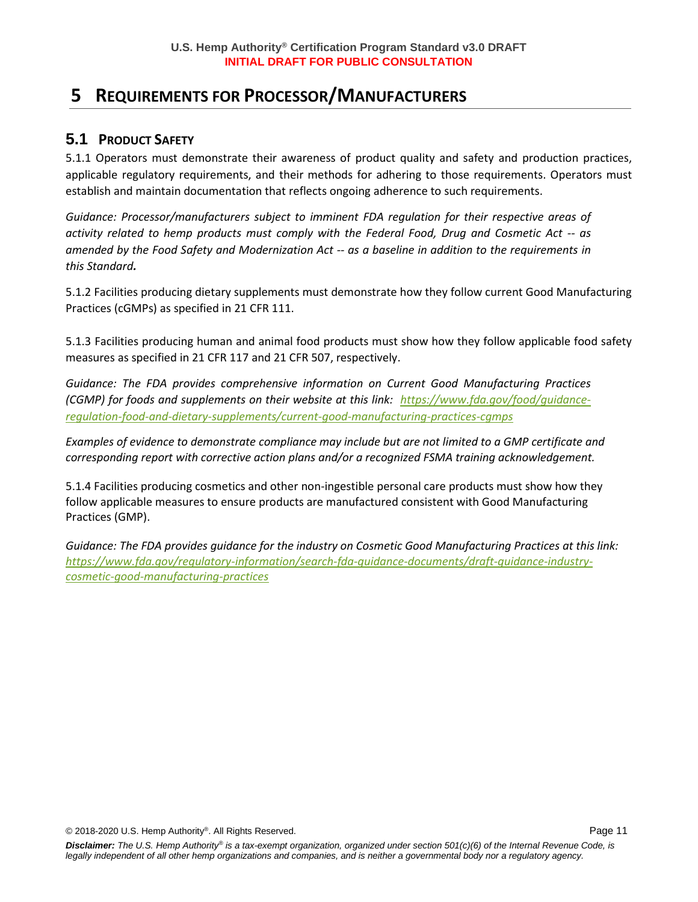# **5 REQUIREMENTS FOR PROCESSOR/MANUFACTURERS**

## **5.1 PRODUCT SAFETY**

5.1.1 Operators must demonstrate their awareness of product quality and safety and production practices, applicable regulatory requirements, and their methods for adhering to those requirements. Operators must establish and maintain documentation that reflects ongoing adherence to such requirements.

*Guidance: Processor/manufacturers subject to imminent FDA regulation for their respective areas of activity related to hemp products must comply with the Federal Food, Drug and Cosmetic Act -- as amended by the Food Safety and Modernization Act -- as a baseline in addition to the requirements in this Standard.*

5.1.2 Facilities producing dietary supplements must demonstrate how they follow current Good Manufacturing Practices (cGMPs) as specified in 21 CFR 111.

5.1.3 Facilities producing human and animal food products must show how they follow applicable food safety measures as specified in 21 CFR 117 and 21 CFR 507, respectively.

*Guidance: The FDA provides comprehensive information on Current Good Manufacturing Practices (CGMP) for foods and supplements on their website at this link: [https://www.fda.gov/food/guidance](https://www.fda.gov/food/guidance-regulation-food-and-dietary-supplements/current-good-manufacturing-practices-cgmps)[regulation-food-and-dietary-supplements/current-good-manufacturing-practices-cgmps](https://www.fda.gov/food/guidance-regulation-food-and-dietary-supplements/current-good-manufacturing-practices-cgmps)*

*Examples of evidence to demonstrate compliance may include but are not limited to a GMP certificate and corresponding report with corrective action plans and/or a recognized FSMA training acknowledgement.*

5.1.4 Facilities producing cosmetics and other non-ingestible personal care products must show how they follow applicable measures to ensure products are manufactured consistent with Good Manufacturing Practices (GMP).

*Guidance: The FDA provides guidance for the industry on Cosmetic Good Manufacturing Practices at this link: [https://www.fda.gov/regulatory-information/search-fda-guidance-documents/draft-guidance-industry](https://www.fda.gov/regulatory-information/search-fda-guidance-documents/draft-guidance-industry-cosmetic-good-manufacturing-practices)[cosmetic-good-manufacturing-practices](https://www.fda.gov/regulatory-information/search-fda-guidance-documents/draft-guidance-industry-cosmetic-good-manufacturing-practices)*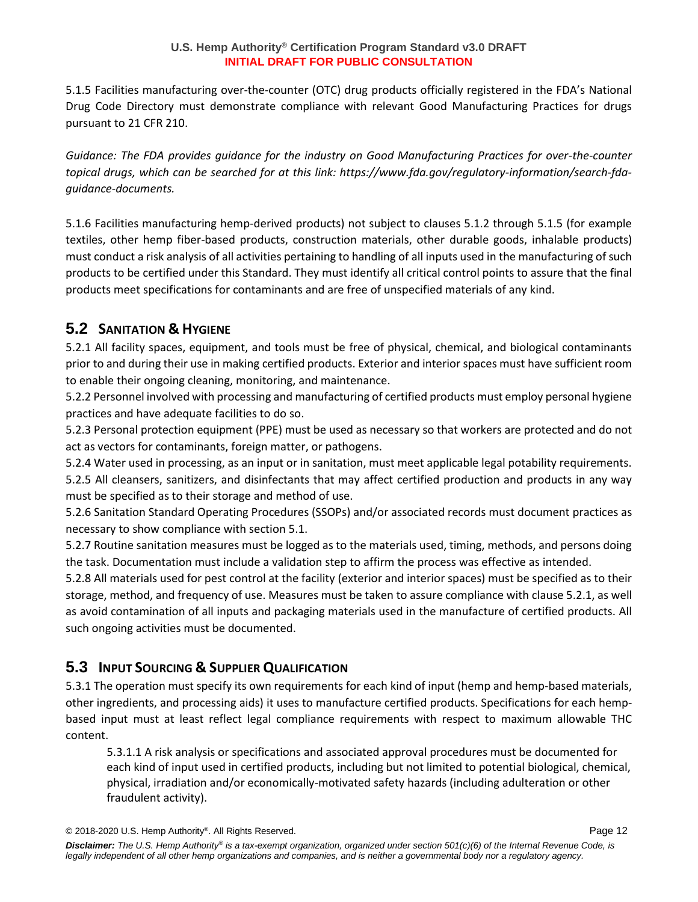5.1.5 Facilities manufacturing over-the-counter (OTC) drug products officially registered in the FDA's National Drug Code Directory must demonstrate compliance with relevant Good Manufacturing Practices for drugs pursuant to 21 CFR 210.

*Guidance: The FDA provides guidance for the industry on Good Manufacturing Practices for over-the-counter topical drugs, which can be searched for at this link: https://www.fda.gov/regulatory-information/search-fdaguidance-documents.*

5.1.6 Facilities manufacturing hemp-derived products) not subject to clauses 5.1.2 through 5.1.5 (for example textiles, other hemp fiber-based products, construction materials, other durable goods, inhalable products) must conduct a risk analysis of all activities pertaining to handling of all inputs used in the manufacturing of such products to be certified under this Standard. They must identify all critical control points to assure that the final products meet specifications for contaminants and are free of unspecified materials of any kind.

## **5.2 SANITATION & HYGIENE**

5.2.1 All facility spaces, equipment, and tools must be free of physical, chemical, and biological contaminants prior to and during their use in making certified products. Exterior and interior spaces must have sufficient room to enable their ongoing cleaning, monitoring, and maintenance.

5.2.2 Personnel involved with processing and manufacturing of certified products must employ personal hygiene practices and have adequate facilities to do so.

5.2.3 Personal protection equipment (PPE) must be used as necessary so that workers are protected and do not act as vectors for contaminants, foreign matter, or pathogens.

5.2.4 Water used in processing, as an input or in sanitation, must meet applicable legal potability requirements.

5.2.5 All cleansers, sanitizers, and disinfectants that may affect certified production and products in any way must be specified as to their storage and method of use.

5.2.6 Sanitation Standard Operating Procedures (SSOPs) and/or associated records must document practices as necessary to show compliance with section 5.1.

5.2.7 Routine sanitation measures must be logged as to the materials used, timing, methods, and persons doing the task. Documentation must include a validation step to affirm the process was effective as intended.

5.2.8 All materials used for pest control at the facility (exterior and interior spaces) must be specified as to their storage, method, and frequency of use. Measures must be taken to assure compliance with clause 5.2.1, as well as avoid contamination of all inputs and packaging materials used in the manufacture of certified products. All such ongoing activities must be documented.

# **5.3 INPUT SOURCING & SUPPLIER QUALIFICATION**

5.3.1 The operation must specify its own requirements for each kind of input (hemp and hemp-based materials, other ingredients, and processing aids) it uses to manufacture certified products. Specifications for each hempbased input must at least reflect legal compliance requirements with respect to maximum allowable THC content.

5.3.1.1 A risk analysis or specifications and associated approval procedures must be documented for each kind of input used in certified products, including but not limited to potential biological, chemical, physical, irradiation and/or economically-motivated safety hazards (including adulteration or other fraudulent activity).

<sup>© 2018-2020</sup> U.S. Hemp Authority® . All Rights Reserved. Page 12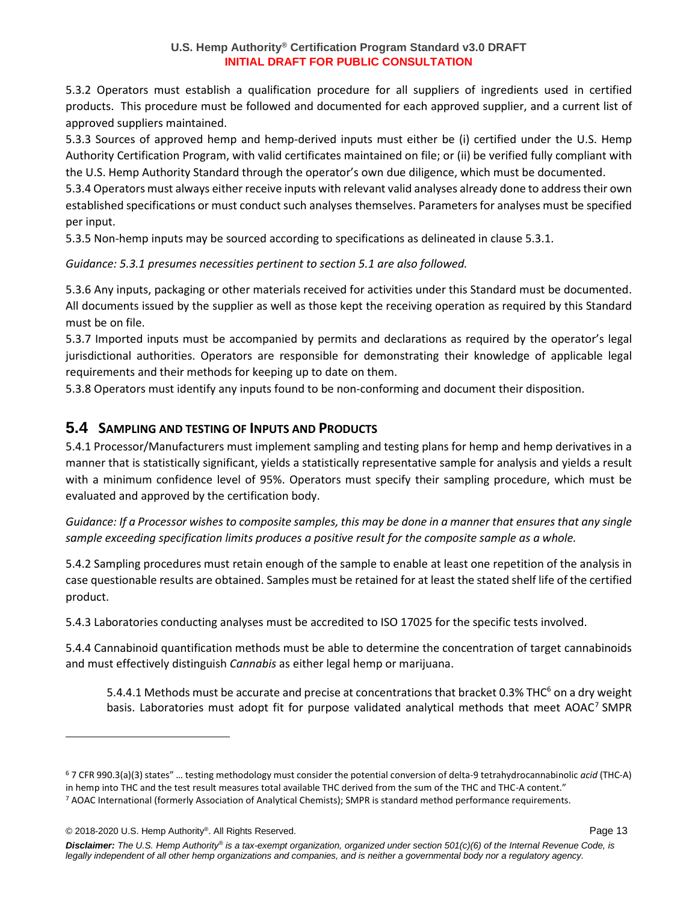5.3.2 Operators must establish a qualification procedure for all suppliers of ingredients used in certified products. This procedure must be followed and documented for each approved supplier, and a current list of approved suppliers maintained.

5.3.3 Sources of approved hemp and hemp-derived inputs must either be (i) certified under the U.S. Hemp Authority Certification Program, with valid certificates maintained on file; or (ii) be verified fully compliant with the U.S. Hemp Authority Standard through the operator's own due diligence, which must be documented.

5.3.4 Operators must always either receive inputs with relevant valid analyses already done to address their own established specifications or must conduct such analyses themselves. Parameters for analyses must be specified per input.

5.3.5 Non-hemp inputs may be sourced according to specifications as delineated in clause 5.3.1.

*Guidance: 5.3.1 presumes necessities pertinent to section 5.1 are also followed.*

5.3.6 Any inputs, packaging or other materials received for activities under this Standard must be documented. All documents issued by the supplier as well as those kept the receiving operation as required by this Standard must be on file.

5.3.7 Imported inputs must be accompanied by permits and declarations as required by the operator's legal jurisdictional authorities. Operators are responsible for demonstrating their knowledge of applicable legal requirements and their methods for keeping up to date on them.

5.3.8 Operators must identify any inputs found to be non-conforming and document their disposition.

## **5.4 SAMPLING AND TESTING OF INPUTS AND PRODUCTS**

5.4.1 Processor/Manufacturers must implement sampling and testing plans for hemp and hemp derivatives in a manner that is statistically significant, yields a statistically representative sample for analysis and yields a result with a minimum confidence level of 95%. Operators must specify their sampling procedure, which must be evaluated and approved by the certification body.

*Guidance: If a Processor wishes to composite samples, this may be done in a manner that ensures that any single sample exceeding specification limits produces a positive result for the composite sample as a whole.* 

5.4.2 Sampling procedures must retain enough of the sample to enable at least one repetition of the analysis in case questionable results are obtained. Samples must be retained for at least the stated shelf life of the certified product.

5.4.3 Laboratories conducting analyses must be accredited to ISO 17025 for the specific tests involved.

5.4.4 Cannabinoid quantification methods must be able to determine the concentration of target cannabinoids and must effectively distinguish *Cannabis* as either legal hemp or marijuana.

5.4.4.1 Methods must be accurate and precise at concentrations that bracket 0.3% THC<sup>6</sup> on a dry weight basis. Laboratories must adopt fit for purpose validated analytical methods that meet AOAC<sup>7</sup> SMPR

© 2018-2020 U.S. Hemp Authority® . All Rights Reserved. Page 13

*Disclaimer: The U.S. Hemp Authority® is a tax-exempt organization, organized under section 501(c)(6) of the Internal Revenue Code, is legally independent of all other hemp organizations and companies, and is neither a governmental body nor a regulatory agency.*

<sup>6</sup> 7 CFR 990.3(a)(3) states" … testing methodology must consider the potential conversion of delta-9 tetrahydrocannabinolic *acid* (THC-A) in hemp into THC and the test result measures total available THC derived from the sum of the THC and THC-A content." <sup>7</sup> AOAC International (formerly Association of Analytical Chemists); SMPR is standard method performance requirements.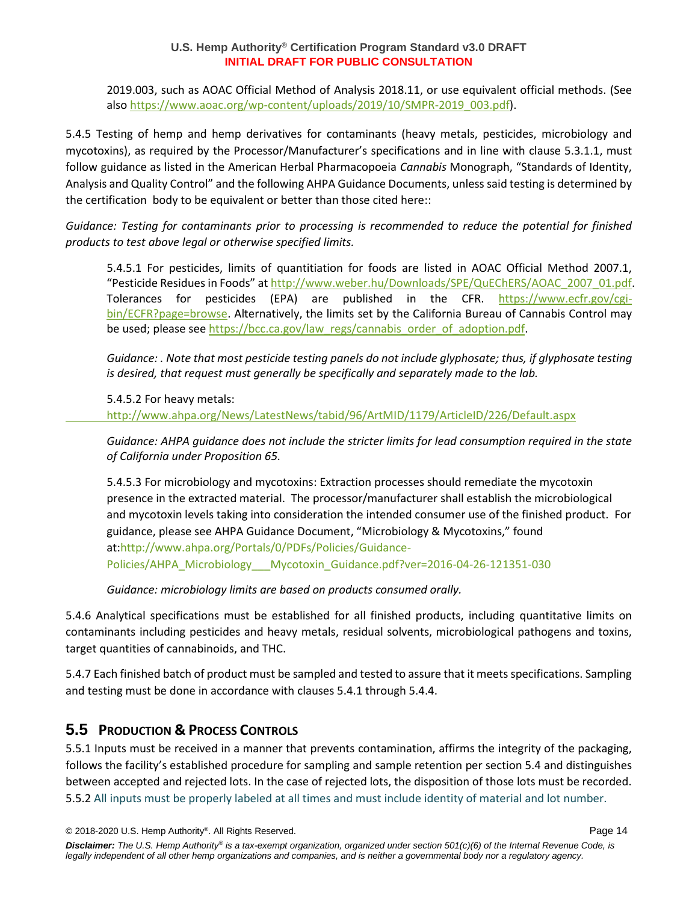2019.003, such as AOAC Official Method of Analysis 2018.11, or use equivalent official methods. (See also [https://www.aoac.org/wp-content/uploads/2019/10/SMPR-2019\\_003.pdf\)](https://www.aoac.org/wp-content/uploads/2019/10/SMPR-2019_003.pdf).

5.4.5 Testing of hemp and hemp derivatives for contaminants (heavy metals, pesticides, microbiology and mycotoxins), as required by the Processor/Manufacturer's specifications and in line with clause 5.3.1.1, must follow guidance as listed in the American Herbal Pharmacopoeia *Cannabis* Monograph, "Standards of Identity, Analysis and Quality Control" and the following AHPA Guidance Documents, unless said testing is determined by the certification body to be equivalent or better than those cited here::

*Guidance: Testing for contaminants prior to processing is recommended to reduce the potential for finished products to test above legal or otherwise specified limits.*

5.4.5.1 For pesticides, limits of quantitiation for foods are listed in AOAC Official Method 2007.1, "Pesticide Residues in Foods" at [http://www.weber.hu/Downloads/SPE/QuEChERS/AOAC\\_2007\\_01.pdf.](http://www.weber.hu/Downloads/SPE/QuEChERS/AOAC_2007_01.pdf) Tolerances for pesticides (EPA) are published in the CFR. [https://www.ecfr.gov/cgi](https://www.ecfr.gov/cgi-bin/ECFR?page=browse)[bin/ECFR?page=browse.](https://www.ecfr.gov/cgi-bin/ECFR?page=browse) Alternatively, the limits set by the California Bureau of Cannabis Control may be used; please see [https://bcc.ca.gov/law\\_regs/cannabis\\_order\\_of\\_adoption.pdf.](https://bcc.ca.gov/law_regs/cannabis_order_of_adoption.pdf)

*Guidance: . Note that most pesticide testing panels do not include glyphosate; thus, if glyphosate testing is desired, that request must generally be specifically and separately made to the lab.*

5.4.5.2 For heavy metals:

[http://www.ahpa.org/News/LatestNews/tabid/96/ArtMID/1179/ArticleID/226/Default.aspx](https://globalidgroup-my.sharepoint.com/personal/dgould_foodchainid_com/Documents/Documents/hemp/USHA/Standard/v3/%09http:/www.ahpa.org/News/LatestNews/tabid/96/ArtMID/1179/ArticleID/226/Default.aspx)

*Guidance: AHPA guidance does not include the stricter limits for lead consumption required in the state of California under Proposition 65.*

5.4.5.3 For microbiology and mycotoxins: Extraction processes should remediate the mycotoxin presence in the extracted material. The processor/manufacturer shall establish the microbiological and mycotoxin levels taking into consideration the intended consumer use of the finished product. For guidance, please see AHPA Guidance Document, "Microbiology & Mycotoxins," found at[:http://www.ahpa.org/Portals/0/PDFs/Policies/Guidance-](http://www.ahpa.org/Portals/0/PDFs/Policies/Guidance-Policies/AHPA_Microbiology___Mycotoxin_Guidance.pdf?ver=2016-04-26-121351-030)[Policies/AHPA\\_Microbiology\\_\\_\\_Mycotoxin\\_Guidance.pdf?ver=2016-04-26-121351-030](http://www.ahpa.org/Portals/0/PDFs/Policies/Guidance-Policies/AHPA_Microbiology___Mycotoxin_Guidance.pdf?ver=2016-04-26-121351-030)

*Guidance: microbiology limits are based on products consumed orally.*

5.4.6 Analytical specifications must be established for all finished products, including quantitative limits on contaminants including pesticides and heavy metals, residual solvents, microbiological pathogens and toxins, target quantities of cannabinoids, and THC.

5.4.7 Each finished batch of product must be sampled and tested to assure that it meets specifications. Sampling and testing must be done in accordance with clauses 5.4.1 through 5.4.4.

### **5.5 PRODUCTION & PROCESS CONTROLS**

5.5.1 Inputs must be received in a manner that prevents contamination, affirms the integrity of the packaging, follows the facility's established procedure for sampling and sample retention per section 5.4 and distinguishes between accepted and rejected lots. In the case of rejected lots, the disposition of those lots must be recorded. 5.5.2 All inputs must be properly labeled at all times and must include identity of material and lot number.

```
© 2018-2020 U.S. Hemp Authority®
. All Rights Reserved. Page 14
```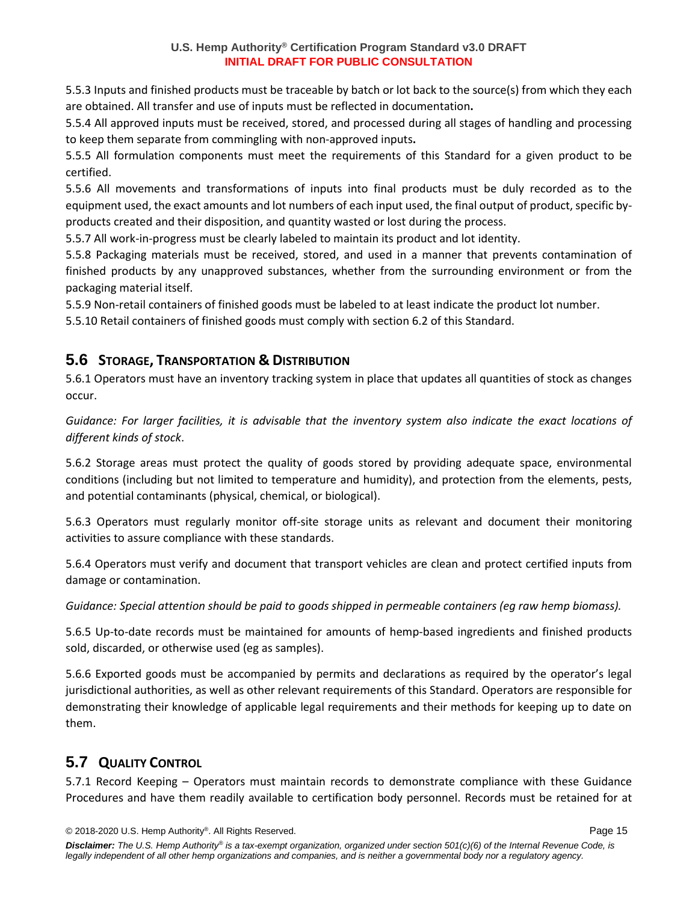5.5.3 Inputs and finished products must be traceable by batch or lot back to the source(s) from which they each are obtained. All transfer and use of inputs must be reflected in documentation**.**

5.5.4 All approved inputs must be received, stored, and processed during all stages of handling and processing to keep them separate from commingling with non-approved inputs**.**

5.5.5 All formulation components must meet the requirements of this Standard for a given product to be certified.

5.5.6 All movements and transformations of inputs into final products must be duly recorded as to the equipment used, the exact amounts and lot numbers of each input used, the final output of product, specific byproducts created and their disposition, and quantity wasted or lost during the process.

5.5.7 All work-in-progress must be clearly labeled to maintain its product and lot identity.

5.5.8 Packaging materials must be received, stored, and used in a manner that prevents contamination of finished products by any unapproved substances, whether from the surrounding environment or from the packaging material itself.

5.5.9 Non-retail containers of finished goods must be labeled to at least indicate the product lot number.

5.5.10 Retail containers of finished goods must comply with section 6.2 of this Standard.

### **5.6 STORAGE, TRANSPORTATION & DISTRIBUTION**

5.6.1 Operators must have an inventory tracking system in place that updates all quantities of stock as changes occur.

*Guidance: For larger facilities, it is advisable that the inventory system also indicate the exact locations of different kinds of stock*.

5.6.2 Storage areas must protect the quality of goods stored by providing adequate space, environmental conditions (including but not limited to temperature and humidity), and protection from the elements, pests, and potential contaminants (physical, chemical, or biological).

5.6.3 Operators must regularly monitor off-site storage units as relevant and document their monitoring activities to assure compliance with these standards.

5.6.4 Operators must verify and document that transport vehicles are clean and protect certified inputs from damage or contamination.

*Guidance: Special attention should be paid to goods shipped in permeable containers (eg raw hemp biomass).*

5.6.5 Up-to-date records must be maintained for amounts of hemp-based ingredients and finished products sold, discarded, or otherwise used (eg as samples).

5.6.6 Exported goods must be accompanied by permits and declarations as required by the operator's legal jurisdictional authorities, as well as other relevant requirements of this Standard. Operators are responsible for demonstrating their knowledge of applicable legal requirements and their methods for keeping up to date on them.

# **5.7 QUALITY CONTROL**

5.7.1 Record Keeping – Operators must maintain records to demonstrate compliance with these Guidance Procedures and have them readily available to certification body personnel. Records must be retained for at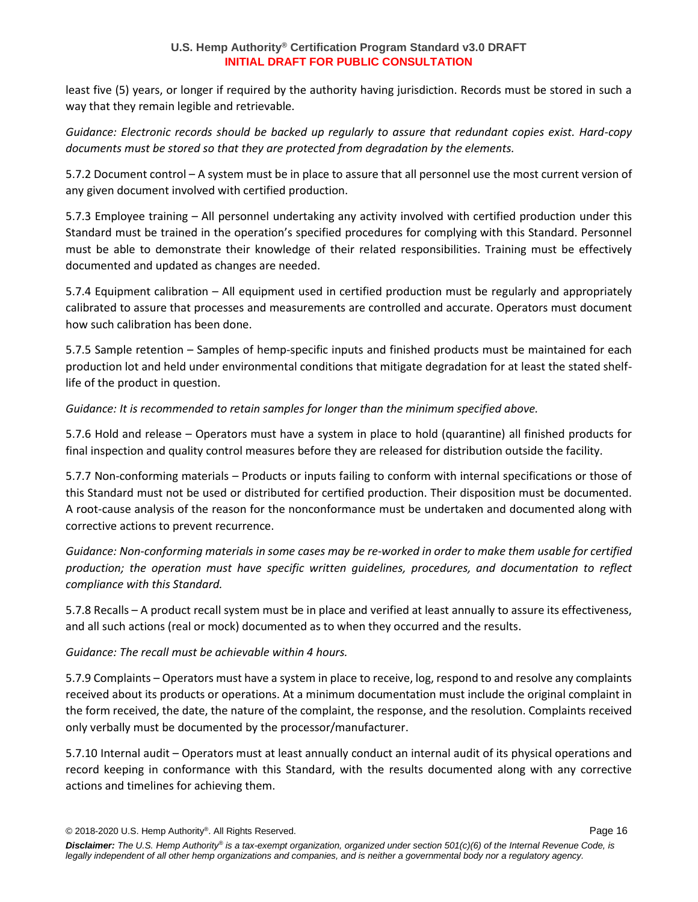least five (5) years, or longer if required by the authority having jurisdiction. Records must be stored in such a way that they remain legible and retrievable.

*Guidance: Electronic records should be backed up regularly to assure that redundant copies exist. Hard-copy documents must be stored so that they are protected from degradation by the elements.*

5.7.2 Document control – A system must be in place to assure that all personnel use the most current version of any given document involved with certified production.

5.7.3 Employee training – All personnel undertaking any activity involved with certified production under this Standard must be trained in the operation's specified procedures for complying with this Standard. Personnel must be able to demonstrate their knowledge of their related responsibilities. Training must be effectively documented and updated as changes are needed.

5.7.4 Equipment calibration – All equipment used in certified production must be regularly and appropriately calibrated to assure that processes and measurements are controlled and accurate. Operators must document how such calibration has been done.

5.7.5 Sample retention – Samples of hemp-specific inputs and finished products must be maintained for each production lot and held under environmental conditions that mitigate degradation for at least the stated shelflife of the product in question.

*Guidance: It is recommended to retain samples for longer than the minimum specified above.*

5.7.6 Hold and release – Operators must have a system in place to hold (quarantine) all finished products for final inspection and quality control measures before they are released for distribution outside the facility.

5.7.7 Non-conforming materials – Products or inputs failing to conform with internal specifications or those of this Standard must not be used or distributed for certified production. Their disposition must be documented. A root-cause analysis of the reason for the nonconformance must be undertaken and documented along with corrective actions to prevent recurrence.

*Guidance: Non-conforming materials in some cases may be re-worked in order to make them usable for certified production; the operation must have specific written guidelines, procedures, and documentation to reflect compliance with this Standard.*

5.7.8 Recalls – A product recall system must be in place and verified at least annually to assure its effectiveness, and all such actions (real or mock) documented as to when they occurred and the results.

*Guidance: The recall must be achievable within 4 hours.*

5.7.9 Complaints – Operators must have a system in place to receive, log, respond to and resolve any complaints received about its products or operations. At a minimum documentation must include the original complaint in the form received, the date, the nature of the complaint, the response, and the resolution. Complaints received only verbally must be documented by the processor/manufacturer.

5.7.10 Internal audit – Operators must at least annually conduct an internal audit of its physical operations and record keeping in conformance with this Standard, with the results documented along with any corrective actions and timelines for achieving them.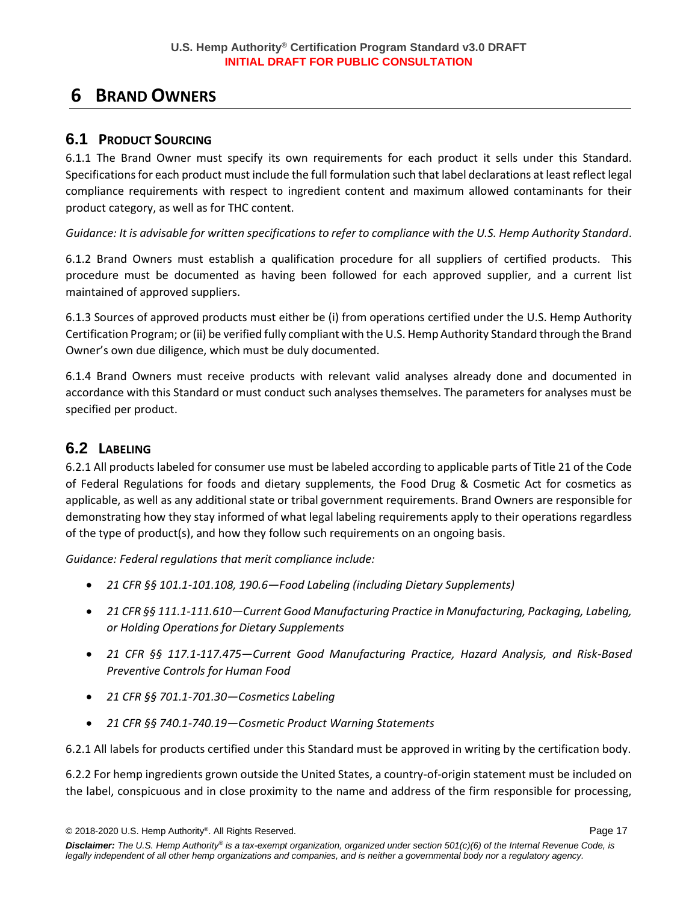# **6 BRAND OWNERS**

### **6.1 PRODUCT SOURCING**

6.1.1 The Brand Owner must specify its own requirements for each product it sells under this Standard. Specifications for each product must include the full formulation such that label declarations at least reflect legal compliance requirements with respect to ingredient content and maximum allowed contaminants for their product category, as well as for THC content.

*Guidance: It is advisable for written specifications to refer to compliance with the U.S. Hemp Authority Standard*.

6.1.2 Brand Owners must establish a qualification procedure for all suppliers of certified products. This procedure must be documented as having been followed for each approved supplier, and a current list maintained of approved suppliers.

6.1.3 Sources of approved products must either be (i) from operations certified under the U.S. Hemp Authority Certification Program; or (ii) be verified fully compliant with the U.S. Hemp Authority Standard through the Brand Owner's own due diligence, which must be duly documented.

6.1.4 Brand Owners must receive products with relevant valid analyses already done and documented in accordance with this Standard or must conduct such analyses themselves. The parameters for analyses must be specified per product.

## **6.2 LABELING**

6.2.1 All products labeled for consumer use must be labeled according to applicable parts of Title 21 of the Code of Federal Regulations for foods and dietary supplements, the Food Drug & Cosmetic Act for cosmetics as applicable, as well as any additional state or tribal government requirements. Brand Owners are responsible for demonstrating how they stay informed of what legal labeling requirements apply to their operations regardless of the type of product(s), and how they follow such requirements on an ongoing basis.

*Guidance: Federal regulations that merit compliance include:*

- *21 CFR §§ 101.1-101.108, 190.6—Food Labeling (including Dietary Supplements)*
- *21 CFR §§ 111.1-111.610—Current Good Manufacturing Practice in Manufacturing, Packaging, Labeling, or Holding Operations for Dietary Supplements*
- *21 CFR §§ 117.1-117.475—Current Good Manufacturing Practice, Hazard Analysis, and Risk-Based Preventive Controls for Human Food*
- *21 CFR §§ 701.1-701.30—Cosmetics Labeling*
- *21 CFR §§ 740.1-740.19—Cosmetic Product Warning Statements*

6.2.1 All labels for products certified under this Standard must be approved in writing by the certification body.

6.2.2 For hemp ingredients grown outside the United States, a country-of-origin statement must be included on the label, conspicuous and in close proximity to the name and address of the firm responsible for processing,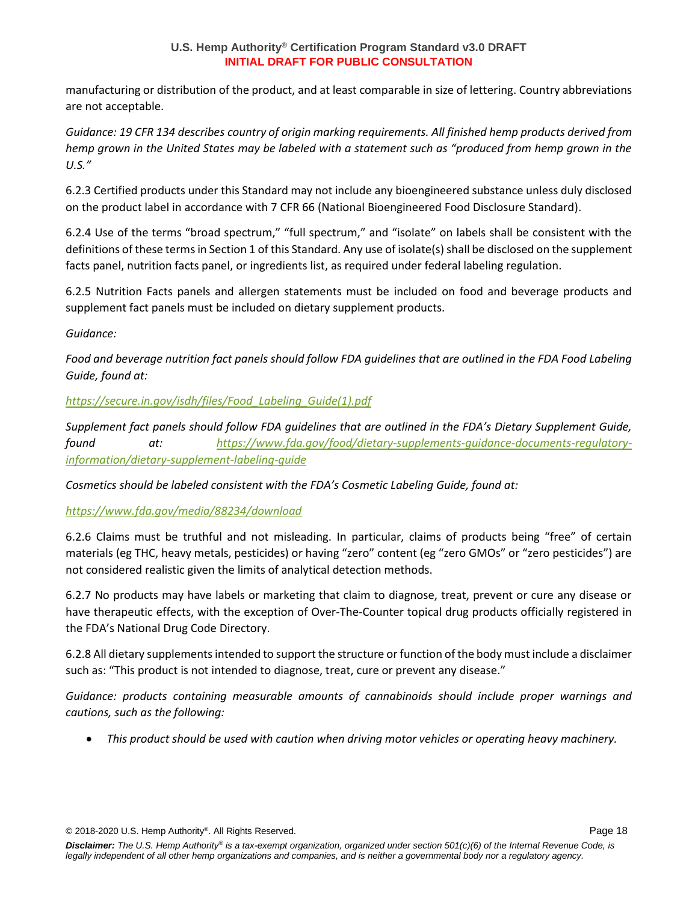manufacturing or distribution of the product, and at least comparable in size of lettering. Country abbreviations are not acceptable.

*Guidance: 19 CFR 134 describes country of origin marking requirements. All finished hemp products derived from hemp grown in the United States may be labeled with a statement such as "produced from hemp grown in the U.S."*

6.2.3 Certified products under this Standard may not include any bioengineered substance unless duly disclosed on the product label in accordance with 7 CFR 66 (National Bioengineered Food Disclosure Standard).

6.2.4 Use of the terms "broad spectrum," "full spectrum," and "isolate" on labels shall be consistent with the definitions of these terms in Section 1 of this Standard. Any use of isolate(s) shall be disclosed on the supplement facts panel, nutrition facts panel, or ingredients list, as required under federal labeling regulation.

6.2.5 Nutrition Facts panels and allergen statements must be included on food and beverage products and supplement fact panels must be included on dietary supplement products.

*Guidance:*

*Food and beverage nutrition fact panels should follow FDA guidelines that are outlined in the FDA Food Labeling Guide, found at:* 

*[https://secure.in.gov/isdh/files/Food\\_Labeling\\_Guide\(1\).pdf](https://secure.in.gov/isdh/files/Food_Labeling_Guide(1).pdf)*

*Supplement fact panels should follow FDA guidelines that are outlined in the FDA's Dietary Supplement Guide, found at: [https://www.fda.gov/food/dietary-supplements-guidance-documents-regulatory](https://www.fda.gov/food/dietary-supplements-guidance-documents-regulatory-information/dietary-supplement-labeling-guide)[information/dietary-supplement-labeling-guide](https://www.fda.gov/food/dietary-supplements-guidance-documents-regulatory-information/dietary-supplement-labeling-guide)*

*Cosmetics should be labeled consistent with the FDA's Cosmetic Labeling Guide, found at:*

### *<https://www.fda.gov/media/88234/download>*

6.2.6 Claims must be truthful and not misleading. In particular, claims of products being "free" of certain materials (eg THC, heavy metals, pesticides) or having "zero" content (eg "zero GMOs" or "zero pesticides") are not considered realistic given the limits of analytical detection methods.

6.2.7 No products may have labels or marketing that claim to diagnose, treat, prevent or cure any disease or have therapeutic effects, with the exception of Over-The-Counter topical drug products officially registered in the FDA's National Drug Code Directory.

6.2.8 All dietary supplements intended to support the structure or function of the body must include a disclaimer such as: "This product is not intended to diagnose, treat, cure or prevent any disease."

*Guidance: products containing measurable amounts of cannabinoids should include proper warnings and cautions, such as the following:*

• *This product should be used with caution when driving motor vehicles or operating heavy machinery.*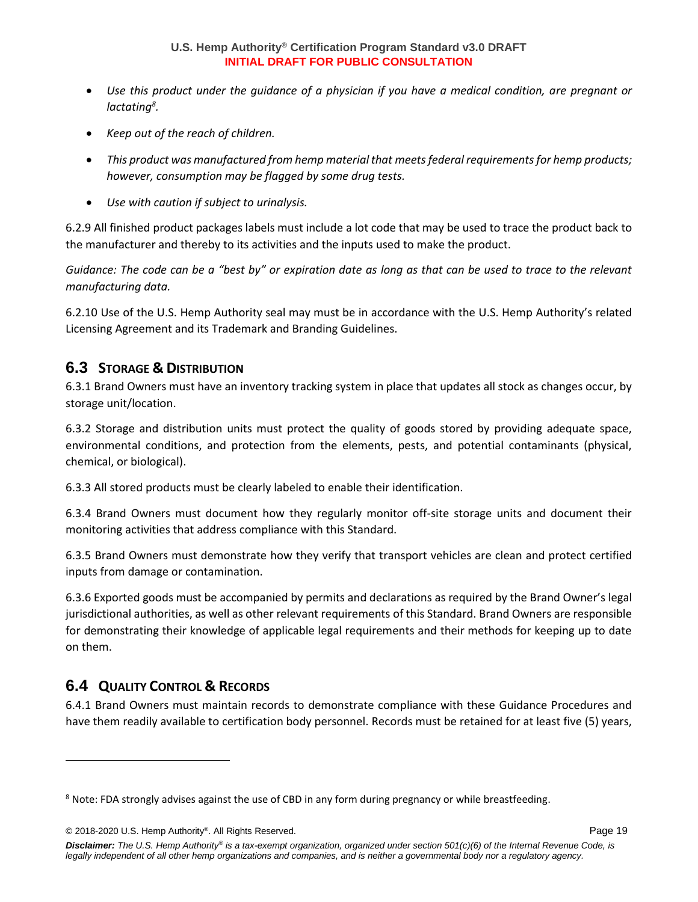- *Use this product under the guidance of a physician if you have a medical condition, are pregnant or lactating<sup>8</sup> .*
- *Keep out of the reach of children.*
- *This product was manufactured from hemp material that meets federal requirements for hemp products; however, consumption may be flagged by some drug tests.*
- *Use with caution if subject to urinalysis.*

6.2.9 All finished product packages labels must include a lot code that may be used to trace the product back to the manufacturer and thereby to its activities and the inputs used to make the product.

*Guidance: The code can be a "best by" or expiration date as long as that can be used to trace to the relevant manufacturing data.*

6.2.10 Use of the U.S. Hemp Authority seal may must be in accordance with the U.S. Hemp Authority's related Licensing Agreement and its Trademark and Branding Guidelines.

## **6.3 STORAGE & DISTRIBUTION**

6.3.1 Brand Owners must have an inventory tracking system in place that updates all stock as changes occur, by storage unit/location.

6.3.2 Storage and distribution units must protect the quality of goods stored by providing adequate space, environmental conditions, and protection from the elements, pests, and potential contaminants (physical, chemical, or biological).

6.3.3 All stored products must be clearly labeled to enable their identification.

6.3.4 Brand Owners must document how they regularly monitor off-site storage units and document their monitoring activities that address compliance with this Standard.

6.3.5 Brand Owners must demonstrate how they verify that transport vehicles are clean and protect certified inputs from damage or contamination.

6.3.6 Exported goods must be accompanied by permits and declarations as required by the Brand Owner's legal jurisdictional authorities, as well as other relevant requirements of this Standard. Brand Owners are responsible for demonstrating their knowledge of applicable legal requirements and their methods for keeping up to date on them.

## **6.4 QUALITY CONTROL & RECORDS**

6.4.1 Brand Owners must maintain records to demonstrate compliance with these Guidance Procedures and have them readily available to certification body personnel. Records must be retained for at least five (5) years,

<sup>&</sup>lt;sup>8</sup> Note: FDA strongly advises against the use of CBD in any form during pregnancy or while breastfeeding.